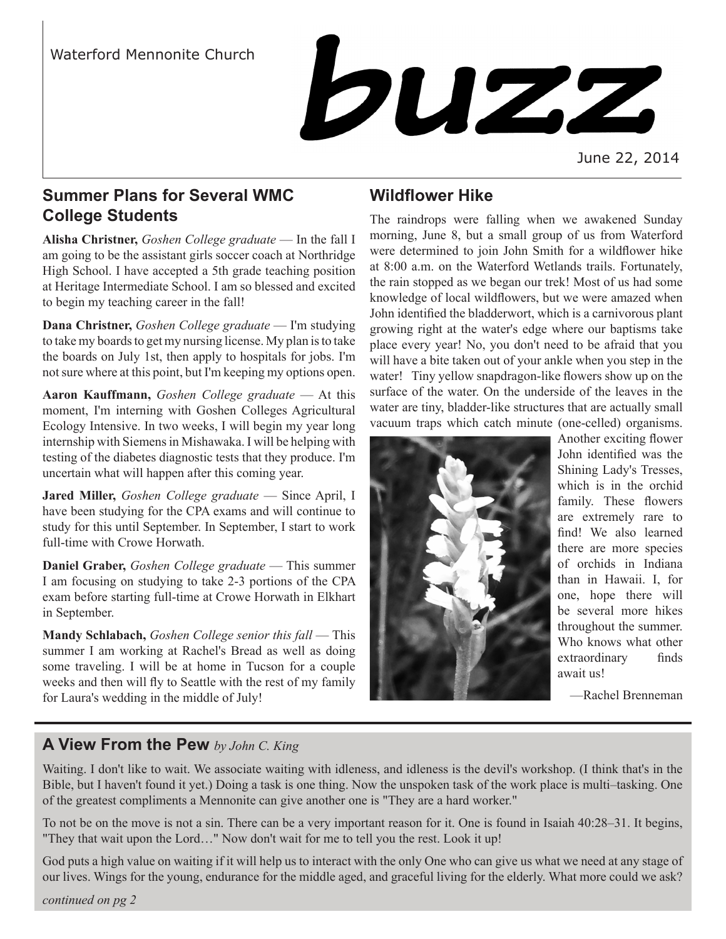

June 22, 2014

# **Summer Plans for Several WMC College Students**

**Alisha Christner,** *Goshen College graduate* — In the fall I am going to be the assistant girls soccer coach at Northridge High School. I have accepted a 5th grade teaching position at Heritage Intermediate School. I am so blessed and excited to begin my teaching career in the fall!

**Dana Christner,** *Goshen College graduate* — I'm studying to take my boards to get my nursing license. My plan is to take the boards on July 1st, then apply to hospitals for jobs. I'm not sure where at this point, but I'm keeping my options open.

**Aaron Kauffmann,** *Goshen College graduate* — At this moment, I'm interning with Goshen Colleges Agricultural Ecology Intensive. In two weeks, I will begin my year long internship with Siemens in Mishawaka. I will be helping with testing of the diabetes diagnostic tests that they produce. I'm uncertain what will happen after this coming year.

**Jared Miller,** *Goshen College graduate* — Since April, I have been studying for the CPA exams and will continue to study for this until September. In September, I start to work full-time with Crowe Horwath.

**Daniel Graber,** *Goshen College graduate* — This summer I am focusing on studying to take 2-3 portions of the CPA exam before starting full-time at Crowe Horwath in Elkhart in September.

**Mandy Schlabach,** *Goshen College senior this fall* — This summer I am working at Rachel's Bread as well as doing some traveling. I will be at home in Tucson for a couple weeks and then will fly to Seattle with the rest of my family for Laura's wedding in the middle of July!

# **Wildflower Hike**

The raindrops were falling when we awakened Sunday morning, June 8, but a small group of us from Waterford were determined to join John Smith for a wildflower hike at 8:00 a.m. on the Waterford Wetlands trails. Fortunately, the rain stopped as we began our trek! Most of us had some knowledge of local wildflowers, but we were amazed when John identified the bladderwort, which is a carnivorous plant growing right at the water's edge where our baptisms take place every year! No, you don't need to be afraid that you will have a bite taken out of your ankle when you step in the water! Tiny yellow snapdragon-like flowers show up on the surface of the water. On the underside of the leaves in the water are tiny, bladder-like structures that are actually small vacuum traps which catch minute (one-celled) organisms.



Another exciting flower John identified was the Shining Lady's Tresses, which is in the orchid family. These flowers are extremely rare to find! We also learned there are more species of orchids in Indiana than in Hawaii. I, for one, hope there will be several more hikes throughout the summer. Who knows what other extraordinary finds await us!

—Rachel Brenneman

# **A View From the Pew** *by John C. King*

Waiting. I don't like to wait. We associate waiting with idleness, and idleness is the devil's workshop. (I think that's in the Bible, but I haven't found it yet.) Doing a task is one thing. Now the unspoken task of the work place is multi–tasking. One of the greatest compliments a Mennonite can give another one is "They are a hard worker."

To not be on the move is not a sin. There can be a very important reason for it. One is found in Isaiah 40:28–31. It begins, "They that wait upon the Lord…" Now don't wait for me to tell you the rest. Look it up!

God puts a high value on waiting if it will help us to interact with the only One who can give us what we need at any stage of our lives. Wings for the young, endurance for the middle aged, and graceful living for the elderly. What more could we ask?